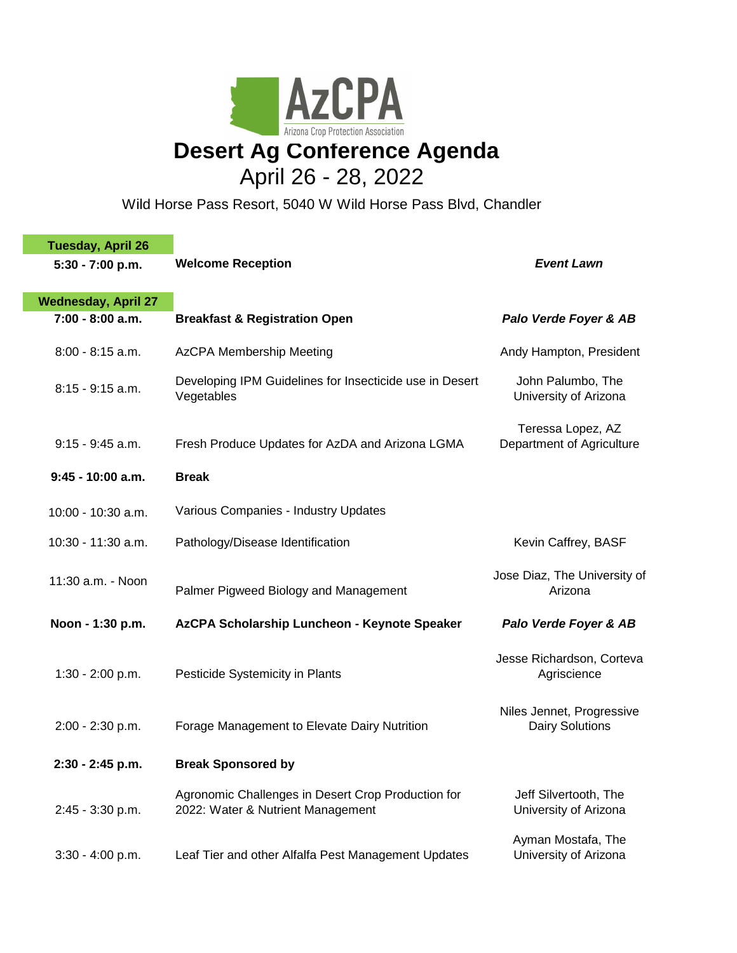

## April 26 - 28, 2022

Wild Horse Pass Resort, 5040 W Wild Horse Pass Blvd, Chandler

| <b>Tuesday, April 26</b>                       |                                                                                         |                                                     |
|------------------------------------------------|-----------------------------------------------------------------------------------------|-----------------------------------------------------|
| 5:30 - 7:00 p.m.                               | <b>Welcome Reception</b>                                                                | <b>Event Lawn</b>                                   |
|                                                |                                                                                         |                                                     |
| <b>Wednesday, April 27</b><br>7:00 - 8:00 a.m. | <b>Breakfast &amp; Registration Open</b>                                                | Palo Verde Foyer & AB                               |
|                                                |                                                                                         |                                                     |
| $8:00 - 8:15$ a.m.                             | <b>AzCPA Membership Meeting</b>                                                         | Andy Hampton, President                             |
| $8:15 - 9:15$ a.m.                             | Developing IPM Guidelines for Insecticide use in Desert<br>Vegetables                   | John Palumbo, The<br>University of Arizona          |
| $9:15 - 9:45$ a.m.                             | Fresh Produce Updates for AzDA and Arizona LGMA                                         | Teressa Lopez, AZ<br>Department of Agriculture      |
| $9:45 - 10:00$ a.m.                            | <b>Break</b>                                                                            |                                                     |
| 10:00 - 10:30 a.m.                             | Various Companies - Industry Updates                                                    |                                                     |
| 10:30 - 11:30 a.m.                             | Pathology/Disease Identification                                                        | Kevin Caffrey, BASF                                 |
| 11:30 a.m. - Noon                              | Palmer Pigweed Biology and Management                                                   | Jose Diaz, The University of<br>Arizona             |
| Noon - 1:30 p.m.                               | AzCPA Scholarship Luncheon - Keynote Speaker                                            | Palo Verde Foyer & AB                               |
| $1:30 - 2:00$ p.m.                             | Pesticide Systemicity in Plants                                                         | Jesse Richardson, Corteva<br>Agriscience            |
| 2:00 - 2:30 p.m.                               | Forage Management to Elevate Dairy Nutrition                                            | Niles Jennet, Progressive<br><b>Dairy Solutions</b> |
| 2:30 - 2:45 p.m.                               | <b>Break Sponsored by</b>                                                               |                                                     |
| 2:45 - 3:30 p.m.                               | Agronomic Challenges in Desert Crop Production for<br>2022: Water & Nutrient Management | Jeff Silvertooth, The<br>University of Arizona      |
| $3:30 - 4:00 p.m.$                             | Leaf Tier and other Alfalfa Pest Management Updates                                     | Ayman Mostafa, The<br>University of Arizona         |